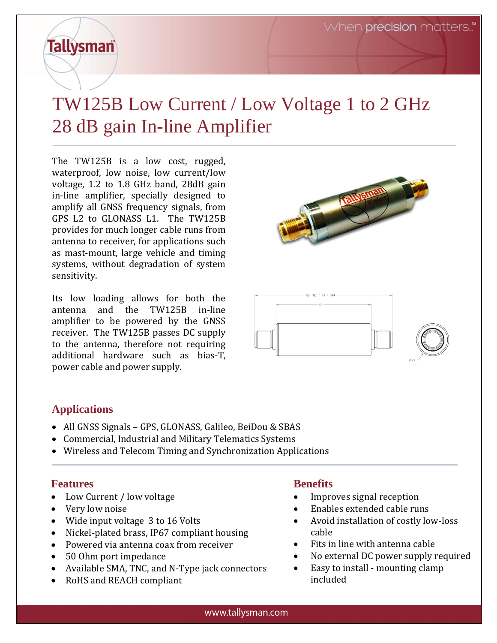# **Tallysman**

## TW125B Low Current / Low Voltage 1 to 2 GHz 28 dB gain In-line Amplifier

The TW125B is a low cost, rugged, waterproof, low noise, low current/low voltage, 1.2 to 1.8 GHz band, 28dB gain in-line amplifier, specially designed to amplify all GNSS frequency signals, from GPS L2 to GLONASS L1. The TW125B provides for much longer cable runs from antenna to receiver, for applications such as mast-mount, large vehicle and timing systems, without degradation of system sensitivity.

Its low loading allows for both the antenna and the TW125B in-line amplifier to be powered by the GNSS receiver. The TW125B passes DC supply to the antenna, therefore not requiring additional hardware such as bias-T, power cable and power supply.





### **Applications**

- All GNSS Signals GPS, GLONASS, Galileo, BeiDou & SBAS
- Commercial, Industrial and Military Telematics Systems
- Wireless and Telecom Timing and Synchronization Applications

### **Features**

- Low Current / low voltage
- Very low noise
- Wide input voltage 3 to 16 Volts
- Nickel-plated brass, IP67 compliant housing
- Powered via antenna coax from receiver
- 50 Ohm port impedance
- Available SMA, TNC, and N-Type jack connectors
- RoHS and REACH compliant

### **Benefits**

- Improves signal reception
- Enables extended cable runs
- Avoid installation of costly low-loss cable
- Fits in line with antenna cable
- No external DC power supply required
- Easy to install mounting clamp included